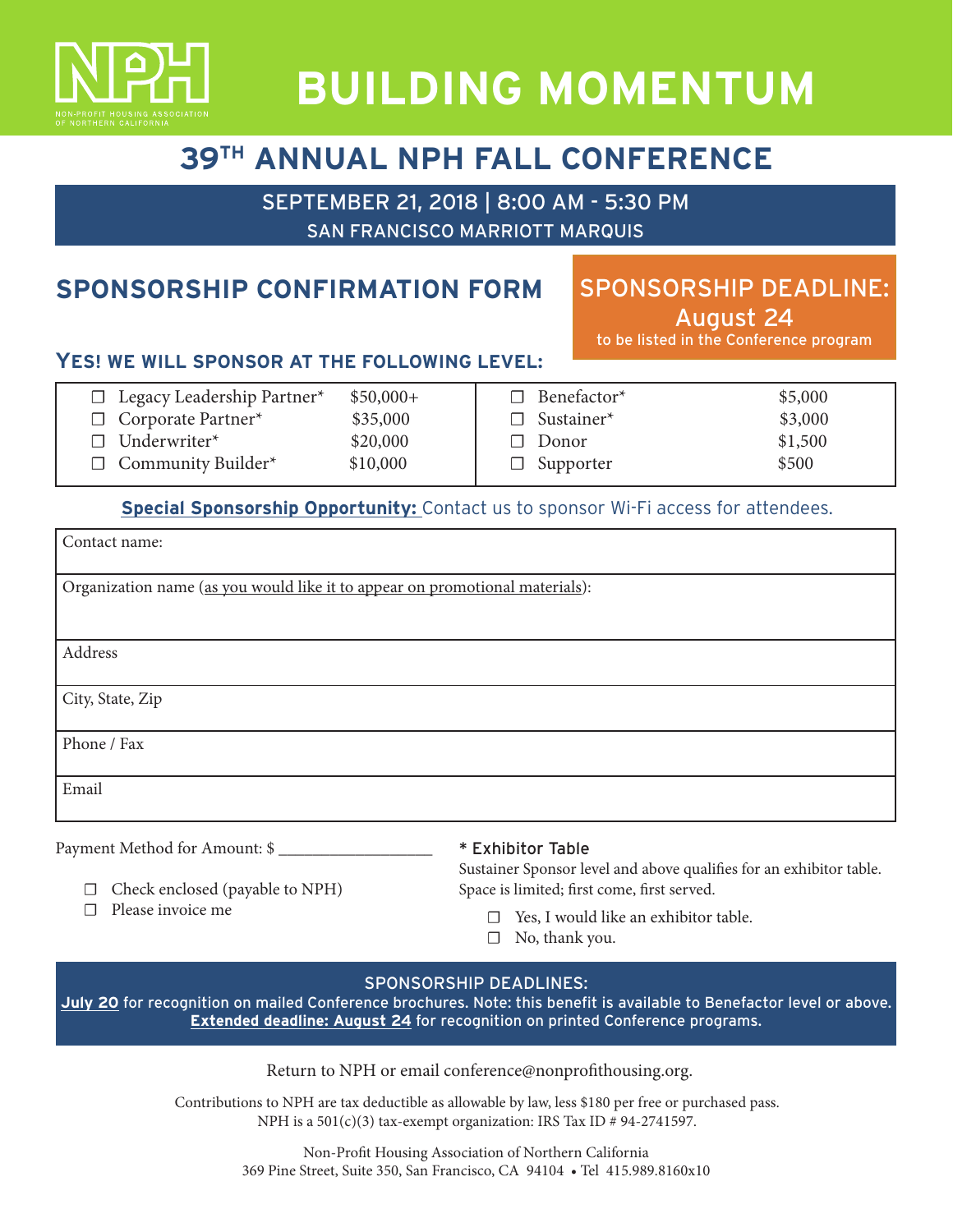

# **BUILDING MOMENTUM**

# **39TH ANNUAL NPH FALL CONFERENCE**

SEPTEMBER 21, 2018 | 8:00 AM - 5:30 PM SAN FRANCISCO MARRIOTT MARQUIS

## **SPONSORSHIP CONFIRMATION FORM**

## SPONSORSHIP DEADLINE: August 24

to be listed in the Conference program

### **YES! WE WILL SPONSOR AT THE FOLLOWING LEVEL:**

| $\Box$ Legacy Leadership Partner* | $$50,000+$ | $\Box$ Benefactor* | \$5,000 |
|-----------------------------------|------------|--------------------|---------|
| $\Box$ Corporate Partner*         | \$35,000   | $\Box$ Sustainer*  | \$3,000 |
| $\Box$ Underwriter <sup>*</sup>   | \$20,000   | $\Box$ Donor       | \$1,500 |
| $\Box$ Community Builder*         | \$10,000   | $\Box$ Supporter   | \$500   |
|                                   |            |                    |         |

### **Special Sponsorship Opportunity:** Contact us to sponsor Wi-Fi access for attendees.

| Contact name:                                                                |
|------------------------------------------------------------------------------|
| Organization name (as you would like it to appear on promotional materials): |
| Address                                                                      |
| City, State, Zip                                                             |
| Phone / Fax                                                                  |
| Email                                                                        |

Payment Method for Amount: \$

#### \* Exhibitor Table

☐ Check enclosed (payable to NPH)

☐ Please invoice me

Sustainer Sponsor level and above qualifies for an exhibitor table. Space is limited; first come, first served.

- ☐ Yes, I would like an exhibitor table.
- $\Box$  No, thank you.

#### SPONSORSHIP DEADLINES:

**July 20** for recognition on mailed Conference brochures. Note: this benefit is available to Benefactor level or above. **Extended deadline: August 24** for recognition on printed Conference programs.

#### Return to NPH or email conference@nonprofithousing.org.

Contributions to NPH are tax deductible as allowable by law, less \$180 per free or purchased pass. NPH is a 501(c)(3) tax-exempt organization: IRS Tax ID # 94-2741597.

> Non-Profit Housing Association of Northern California 369 Pine Street, Suite 350, San Francisco, CA 94104 • Tel 415.989.8160x10